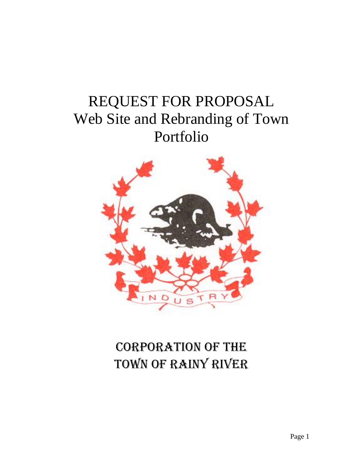# REQUEST FOR PROPOSAL Web Site and Rebranding of Town Portfolio



# Corporation of the Town of Rainy River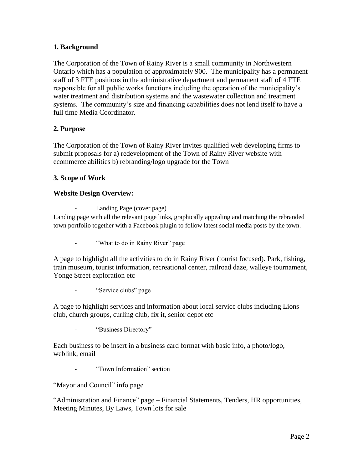# **1. Background**

The Corporation of the Town of Rainy River is a small community in Northwestern Ontario which has a population of approximately 900. The municipality has a permanent staff of 3 FTE positions in the administrative department and permanent staff of 4 FTE responsible for all public works functions including the operation of the municipality's water treatment and distribution systems and the wastewater collection and treatment systems. The community's size and financing capabilities does not lend itself to have a full time Media Coordinator.

# **2. Purpose**

The Corporation of the Town of Rainy River invites qualified web developing firms to submit proposals for a) redevelopment of the Town of Rainy River website with ecommerce abilities b) rebranding/logo upgrade for the Town

# **3. Scope of Work**

# **Website Design Overview:**

Landing Page (cover page)

Landing page with all the relevant page links, graphically appealing and matching the rebranded town portfolio together with a Facebook plugin to follow latest social media posts by the town.

"What to do in Rainy River" page

A page to highlight all the activities to do in Rainy River (tourist focused). Park, fishing, train museum, tourist information, recreational center, railroad daze, walleye tournament, Yonge Street exploration etc

"Service clubs" page

A page to highlight services and information about local service clubs including Lions club, church groups, curling club, fix it, senior depot etc

"Business Directory"

Each business to be insert in a business card format with basic info, a photo/logo, weblink, email

"Town Information" section

"Mayor and Council" info page

"Administration and Finance" page – Financial Statements, Tenders, HR opportunities, Meeting Minutes, By Laws, Town lots for sale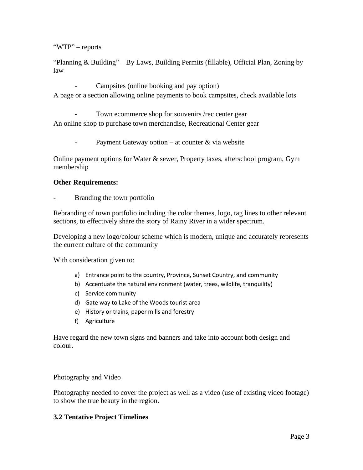"WTP" – reports

"Planning & Building" – By Laws, Building Permits (fillable), Official Plan, Zoning by law

Campsites (online booking and pay option)

A page or a section allowing online payments to book campsites, check available lots

Town ecommerce shop for souvenirs /rec center gear

An online shop to purchase town merchandise, Recreational Center gear

- Payment Gateway option – at counter & via website

Online payment options for Water & sewer, Property taxes, afterschool program, Gym membership

# **Other Requirements:**

Branding the town portfolio

Rebranding of town portfolio including the color themes, logo, tag lines to other relevant sections, to effectively share the story of Rainy River in a wider spectrum.

Developing a new logo/colour scheme which is modern, unique and accurately represents the current culture of the community

With consideration given to:

- a) Entrance point to the country, Province, Sunset Country, and community
- b) Accentuate the natural environment (water, trees, wildlife, tranquility)
- c) Service community
- d) Gate way to Lake of the Woods tourist area
- e) History or trains, paper mills and forestry
- f) Agriculture

Have regard the new town signs and banners and take into account both design and colour.

Photography and Video

Photography needed to cover the project as well as a video (use of existing video footage) to show the true beauty in the region.

# **3.2 Tentative Project Timelines**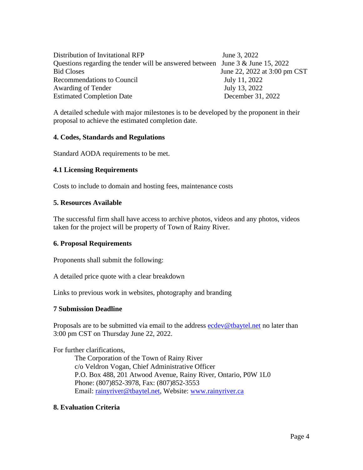Distribution of Invitational RFP June 3, 2022 Questions regarding the tender will be answered between June 3 & June 15, 2022 Bid Closes June 22, 2022 at 3:00 pm CST Recommendations to Council July 11, 2022 Awarding of Tender July 13, 2022 Estimated Completion Date December 31, 2022

A detailed schedule with major milestones is to be developed by the proponent in their proposal to achieve the estimated completion date.

#### **4. Codes, Standards and Regulations**

Standard AODA requirements to be met.

#### **4.1 Licensing Requirements**

Costs to include to domain and hosting fees, maintenance costs

#### **5. Resources Available**

The successful firm shall have access to archive photos, videos and any photos, videos taken for the project will be property of Town of Rainy River.

#### **6. Proposal Requirements**

Proponents shall submit the following:

A detailed price quote with a clear breakdown

Links to previous work in websites, photography and branding

#### **7 Submission Deadline**

Proposals are to be submitted via email to the address **example of example of the state** no later than 3:00 pm CST on Thursday June 22, 2022.

For further clarifications,

The Corporation of the Town of Rainy River c/o Veldron Vogan, Chief Administrative Officer P.O. Box 488, 201 Atwood Avenue, Rainy River, Ontario, P0W 1L0 Phone: (807)852-3978, Fax: (807)852-3553 Email: [rainyriver@tbaytel.net,](mailto:rainyriver@tbaytel.net) Website: [www.rainyriver.ca](http://www.rainyriver.ca/)

#### **8. Evaluation Criteria**